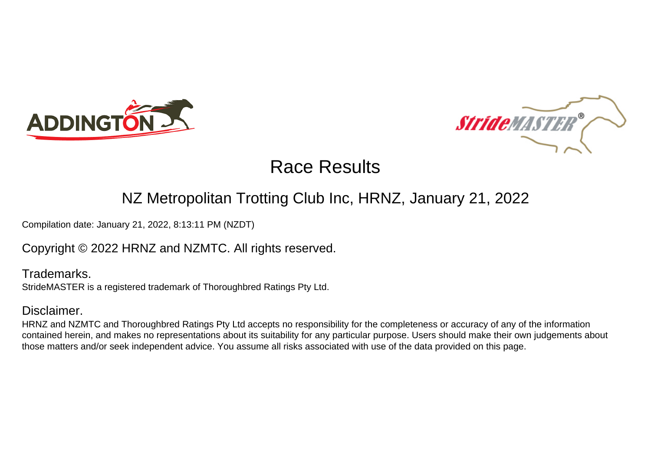



## NZ Metropolitan Trotting Club Inc, HRNZ, January 21, 2022

Compilation date: January 21, 2022, 8:13:11 PM (NZDT)

### Copyright © 2022 HRNZ and NZMTC. All rights reserved.

Trademarks. StrideMASTER is a registered trademark of Thoroughbred Ratings Pty Ltd.

### Disclaimer.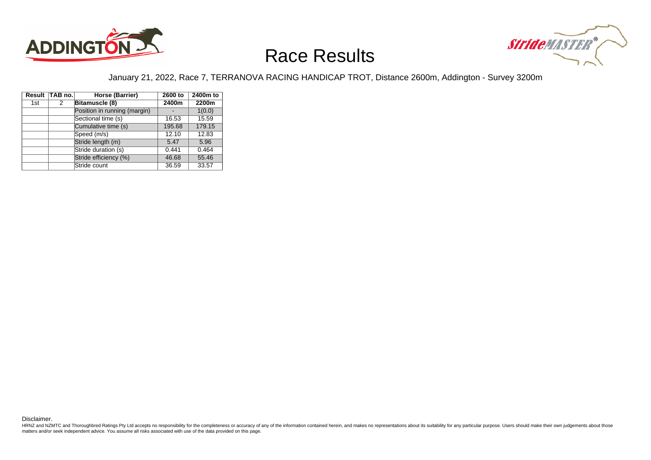



### January 21, 2022, Race 7, TERRANOVA RACING HANDICAP TROT, Distance 2600m, Addington - Survey 3200m

|     | Result TAB no. | Horse (Barrier)              | 2600 to | 2400m to |
|-----|----------------|------------------------------|---------|----------|
| 1st | 2              | Bitamuscle (8)               | 2400m   | 2200m    |
|     |                | Position in running (margin) |         | 1(0.0)   |
|     |                | Sectional time (s)           | 16.53   | 15.59    |
|     |                | Cumulative time (s)          | 195.68  | 179.15   |
|     |                | Speed (m/s)                  | 12.10   | 12.83    |
|     |                | Stride length (m)            | 5.47    | 5.96     |
|     |                | Stride duration (s)          | 0.441   | 0.464    |
|     |                | Stride efficiency (%)        | 46.68   | 55.46    |
|     |                | Stride count                 | 36.59   | 33.57    |

Disclaimer.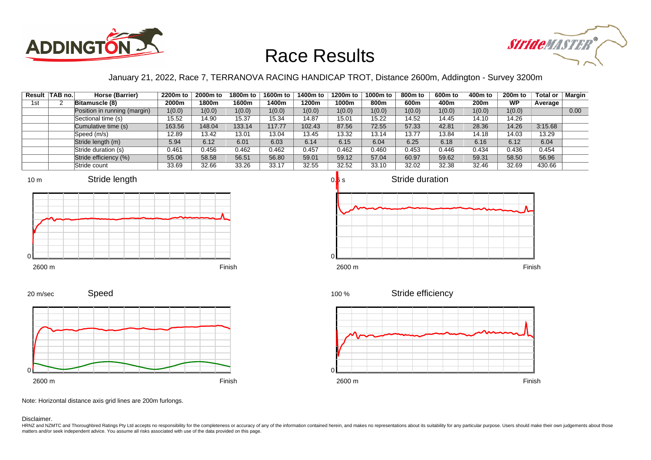



### January 21, 2022, Race 7, TERRANOVA RACING HANDICAP TROT, Distance 2600m, Addington - Survey 3200m

|     | Result TAB no. | Horse (Barrier)              | 2200m to | 2000m to | 1800m to | 1600m to | 1400m to | 1200m to | 1000m to | 800m to | 600m to | 400m to | 200 <sub>m</sub> to | <b>Total or</b> | Margin |
|-----|----------------|------------------------------|----------|----------|----------|----------|----------|----------|----------|---------|---------|---------|---------------------|-----------------|--------|
| 1st |                | Bitamuscle (8)               | 2000m    | 1800m    | 1600m    | 400m     | 1200m    | 1000m    | 800m     | 600m    | 400m    | 200m    | <b>WP</b>           | Average         |        |
|     |                | Position in running (margin) | 1(0.0)   | 1(0.0)   | 1(0.0)   | 1(0.0)   | 1(0.0)   | 1(0.0)   | 1(0.0)   | 1(0.0)  | 1(0.0)  | 1(0.0)  | 1(0.0)              |                 | 0.00   |
|     |                | Sectional time (s)           | 15.52    | 14.90    | 15.37    | 15.34    | 14.87    | 15.01    | 15.22    | 14.52   | 14.45   | 14.10   | 14.26               |                 |        |
|     |                | Cumulative time (s)          | 163.56   | 148.04   | 133.14   | 117.77   | 102.43   | 87.56    | 72.55    | 57.33   | 42.81   | 28.36   | 14.26               | 3:15.68         |        |
|     |                | Speed (m/s)                  | 12.89    | 13.42    | 13.01    | 13.04    | 13.45    | 13.32    | 13.14    | 13.77   | 13.84   | 14.18   | 14.03               | 13.29           |        |
|     |                | Stride length (m)            | 5.94     | 6.12     | 6.01     | 6.03     | 6.14     | 6.15     | 6.04     | 6.25    | 6.18    | 6.16    | 6.12                | 6.04            |        |
|     |                | Stride duration (s)          | 0.461    | 0.456    | 0.462    | 0.462    | 0.457    | 0.462    | 0.460    | 0.453   | 0.446   | 0.434   | 0.436               | 0.454           |        |
|     |                | Stride efficiency (%)        | 55.06    | 58.58    | 56.51    | 56.80    | 59.01    | 59.12    | 57.04    | 60.97   | 59.62   | 59.31   | 58.50               | 56.96           |        |
|     |                | Stride count                 | 33.69    | 32.66    | 33.26    | 33.17    | 32.55    | 32.52    | 33.10    | 32.02   | 32.38   | 32.46   | 32.69               | 430.66          |        |













Note: Horizontal distance axis grid lines are 200m furlongs.

Disclaimer.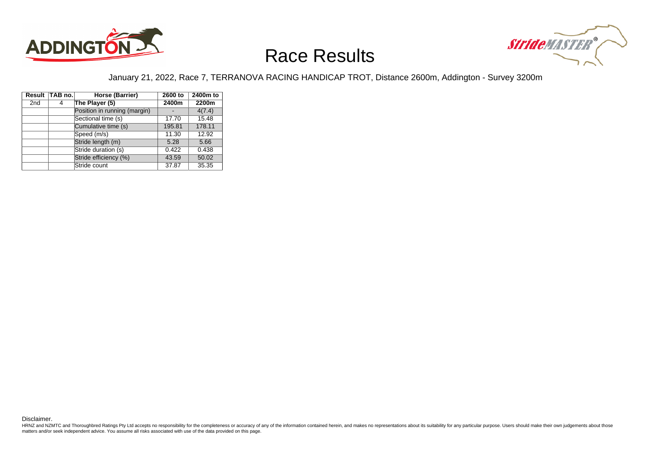



### January 21, 2022, Race 7, TERRANOVA RACING HANDICAP TROT, Distance 2600m, Addington - Survey 3200m

|                 | Result TAB no. | Horse (Barrier)              | 2600 to | 2400m to |
|-----------------|----------------|------------------------------|---------|----------|
| 2 <sub>nd</sub> | 4              | The Player (5)               | 2400m   | 2200m    |
|                 |                | Position in running (margin) |         | 4(7.4)   |
|                 |                | Sectional time (s)           | 17.70   | 15.48    |
|                 |                | Cumulative time (s)          | 195.81  | 178.11   |
|                 |                | Speed (m/s)                  | 11.30   | 12.92    |
|                 |                | Stride length (m)            | 5.28    | 5.66     |
|                 |                | Stride duration (s)          | 0.422   | 0.438    |
|                 |                | Stride efficiency (%)        | 43.59   | 50.02    |
|                 |                | Stride count                 | 37.87   | 35.35    |

Disclaimer.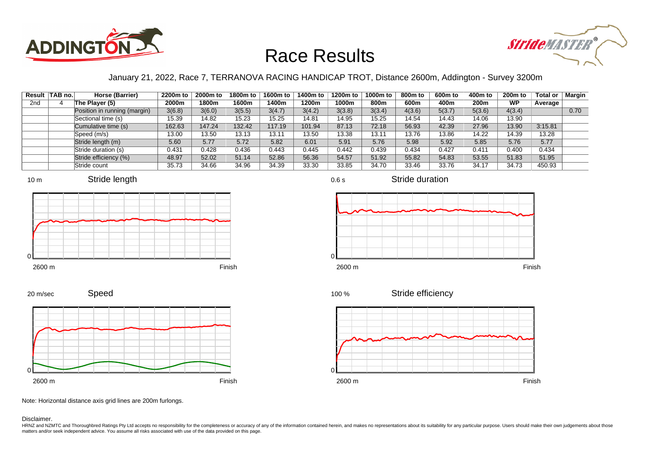



### January 21, 2022, Race 7, TERRANOVA RACING HANDICAP TROT, Distance 2600m, Addington - Survey 3200m

|                 | Result TAB no. | Horse (Barrier)              | 2200m to | 2000m to | 1800m to | 1600m to | 1400m to | 1200m to | 1000m to | 800m to | 600m to | 400m to          | $200m$ to | <b>Total or</b> | Margin |
|-----------------|----------------|------------------------------|----------|----------|----------|----------|----------|----------|----------|---------|---------|------------------|-----------|-----------------|--------|
| 2 <sub>nd</sub> |                | The Player (5)               | 2000m    | 1800m    | 1600m    | 1400m    | 1200m    | 1000m    | 800m     | 600m    | 400m    | 200 <sub>m</sub> | <b>WP</b> | Average         |        |
|                 |                | Position in running (margin) | 3(6.8)   | 3(6.0)   | 3(5.5)   | 3(4.7)   | 3(4.2)   | 3(3.8)   | 3(3.4)   | 4(3.6)  | 5(3.7)  | 5(3.6)           | 4(3.4)    |                 | 0.70   |
|                 |                | Sectional time (s)           | 15.39    | 14.82    | 15.23    | 15.25    | 14.81    | 14.95    | 15.25    | 14.54   | 14.43   | 14.06            | 13.90     |                 |        |
|                 |                | Cumulative time (s)          | 162.63   | 147.24   | 132.42   | 117.19   | 101.94   | 87.13    | 72.18    | 56.93   | 42.39   | 27.96            | 13.90     | 3:15.81         |        |
|                 |                | Speed (m/s)                  | 13.00    | 13.50    | 13.13    | 13.11    | 13.50    | 13.38    | 13.11    | 13.76   | 13.86   | 14.22            | 14.39     | 13.28           |        |
|                 |                | Stride length (m)            | 5.60     | 5.77     | 5.72     | 5.82     | 6.01     | 5.91     | 5.76     | 5.98    | 5.92    | 5.85             | 5.76      | 5.77            |        |
|                 |                | Stride duration (s)          | 0.431    | 0.428    | 0.436    | 0.443    | 0.445    | 0.442    | 0.439    | 0.434   | 0.427   | 0.411            | 0.400     | 0.434           |        |
|                 |                | Stride efficiency (%)        | 48.97    | 52.02    | 51.14    | 52.86    | 56.36    | 54.57    | 51.92    | 55.82   | 54.83   | 53.55            | 51.83     | 51.95           |        |
|                 |                | Stride count                 | 35.73    | 34.66    | 34.96    | 34.39    | 33.30    | 33.85    | 34.70    | 33.46   | 33.76   | 34.17            | 34.73     | 450.93          |        |



















Note: Horizontal distance axis grid lines are 200m furlongs.

#### Disclaimer.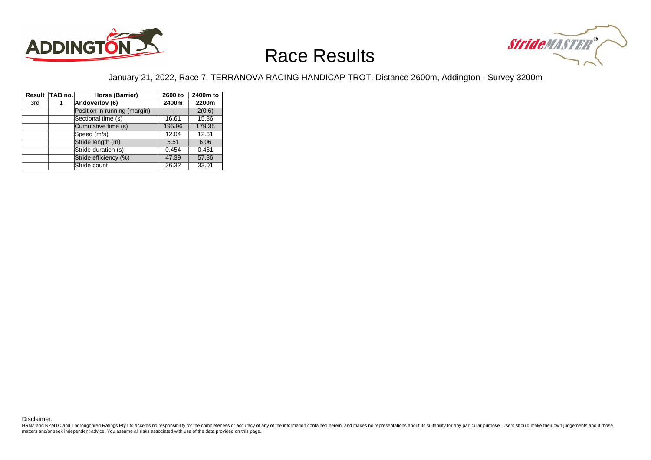



### January 21, 2022, Race 7, TERRANOVA RACING HANDICAP TROT, Distance 2600m, Addington - Survey 3200m

|     | Result TAB no. | Horse (Barrier)              | 2600 to | 2400m to |
|-----|----------------|------------------------------|---------|----------|
| 3rd |                | Andoverlov (6)               | 2400m   | 2200m    |
|     |                | Position in running (margin) |         | 2(0.6)   |
|     |                | Sectional time (s)           | 16.61   | 15.86    |
|     |                | Cumulative time (s)          | 195.96  | 179.35   |
|     |                | Speed (m/s)                  | 12.04   | 12.61    |
|     |                | Stride length (m)            | 5.51    | 6.06     |
|     |                | Stride duration (s)          | 0.454   | 0.481    |
|     |                | Stride efficiency (%)        | 47.39   | 57.36    |
|     |                | Stride count                 | 36.32   | 33.01    |

Disclaimer.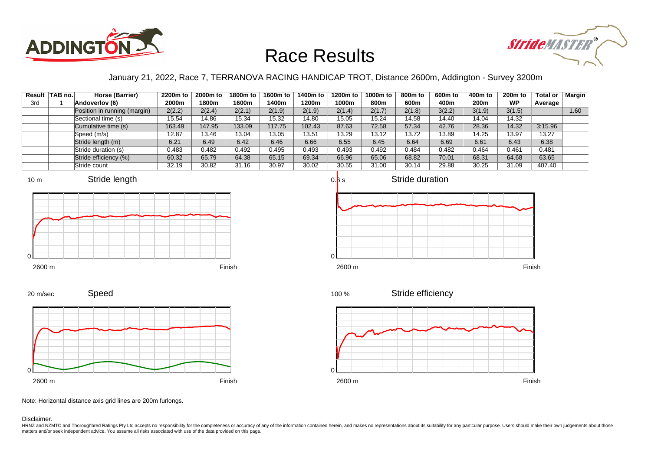



### January 21, 2022, Race 7, TERRANOVA RACING HANDICAP TROT, Distance 2600m, Addington - Survey 3200m

|     | Result TAB no. | Horse (Barrier)              | 2200m to | 2000m to | 1800m to | 1600m to | 1400m to | 1200m to | 1000m to | 800m to | 600m to | 400m to          | 200 <sub>m</sub> to | <b>Total or</b> | Margin |
|-----|----------------|------------------------------|----------|----------|----------|----------|----------|----------|----------|---------|---------|------------------|---------------------|-----------------|--------|
| 3rd |                | Andoverlov (6)               | 2000m    | 1800m    | 1600m    | l 400m   | 1200m    | 1000m    | 800m     | 600m    | 400m    | 200 <sub>m</sub> | <b>WP</b>           | Average         |        |
|     |                | Position in running (margin) | 2(2.2)   | 2(2.4)   | 2(2.1)   | 2(1.9)   | 2(1.9)   | 2(1.4)   | 2(1.7)   | 2(1.8)  | 3(2.2)  | 3(1.9)           | 3(1.5)              |                 | 1.60   |
|     |                | Sectional time (s)           | 15.54    | 14.86    | 15.34    | 15.32    | 14.80    | 15.05    | 15.24    | 14.58   | 14.40   | 14.04            | 14.32               |                 |        |
|     |                | Cumulative time (s)          | 163.49   | 147.95   | 133.09   | 117.75   | 102.43   | 87.63    | 72.58    | 57.34   | 42.76   | 28.36            | 14.32               | 3:15.96         |        |
|     |                | Speed (m/s)                  | 12.87    | 13.46    | 13.04    | 13.05    | 13.51    | 13.29    | 13.12    | 13.72   | 13.89   | 14.25            | 13.97               | 13.27           |        |
|     |                | Stride length (m)            | 6.21     | 6.49     | 6.42     | 6.46     | 6.66     | 6.55     | 6.45     | 6.64    | 6.69    | 6.61             | 6.43                | 6.38            |        |
|     |                | Stride duration (s)          | 0.483    | 0.482    | 0.492    | 0.495    | 0.493    | 0.493    | 0.492    | 0.484   | 0.482   | 0.464            | 0.461               | 0.481           |        |
|     |                | Stride efficiency (%)        | 60.32    | 65.79    | 64.38    | 65.15    | 69.34    | 66.96    | 65.06    | 68.82   | 70.01   | 68.31            | 64.68               | 63.65           |        |
|     |                | Stride count                 | 32.19    | 30.82    | 31.16    | 30.97    | 30.02    | 30.55    | 31.00    | 30.14   | 29.88   | 30.25            | 31.09               | 407.40          |        |











Note: Horizontal distance axis grid lines are 200m furlongs.

Disclaimer.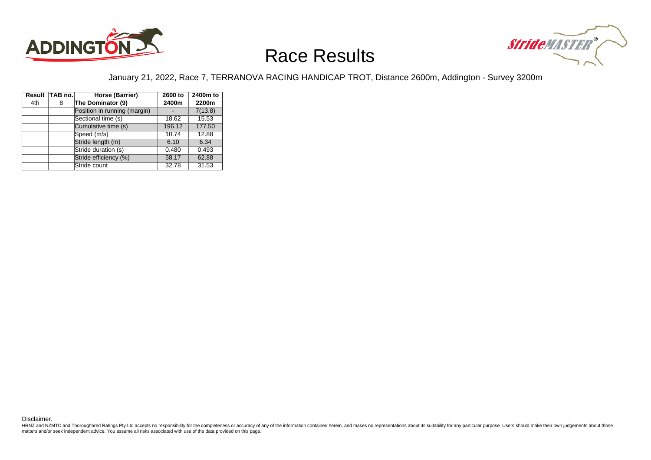



### January 21, 2022, Race 7, TERRANOVA RACING HANDICAP TROT, Distance 2600m, Addington - Survey 3200m

|     | Result TAB no. | Horse (Barrier)              | 2600 to | 2400m to |
|-----|----------------|------------------------------|---------|----------|
| 4th | 8              | The Dominator (9)            | 2400m   | 2200m    |
|     |                | Position in running (margin) |         | 7(13.8)  |
|     |                | Sectional time (s)           | 18.62   | 15.53    |
|     |                | Cumulative time (s)          | 196.12  | 177.50   |
|     |                | Speed (m/s)                  | 10.74   | 12.88    |
|     |                | Stride length (m)            | 6.10    | 6.34     |
|     |                | Stride duration (s)          | 0.480   | 0.493    |
|     |                | Stride efficiency (%)        | 58.17   | 62.88    |
|     |                | Stride count                 | 32.78   | 31.53    |

Disclaimer.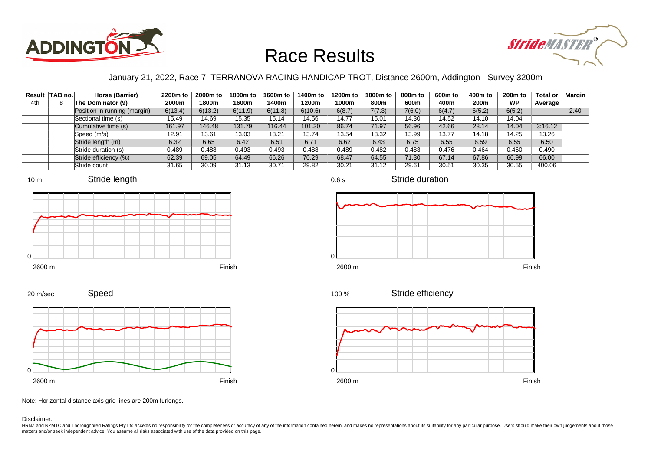



### January 21, 2022, Race 7, TERRANOVA RACING HANDICAP TROT, Distance 2600m, Addington - Survey 3200m

|     | Result TAB no. | Horse (Barrier)              | 2200m to | 2000m to | 1800m to | 1600m to | 1400m to | 1200m to | 1000m to | 800m to | 600m to | 400m to | <b>200m to</b> | <b>Total or</b> | Margin |
|-----|----------------|------------------------------|----------|----------|----------|----------|----------|----------|----------|---------|---------|---------|----------------|-----------------|--------|
| 4th |                | The Dominator (9)            | 2000m    | 1800m    | 1600m    | 400m     | 1200m    | 1000m    | 800m     | 600m    | 400m    | 200m    | <b>WP</b>      | Average         |        |
|     |                | Position in running (margin) | 6(13.4)  | 6(13.2)  | 6(11.9)  | 6(11.8)  | 6(10.6)  | 6(8.7)   | 7(7.3)   | 7(6.0)  | 6(4.7)  | 6(5.2)  | 6(5.2)         |                 | 2.40   |
|     |                | Sectional time (s)           | 15.49    | 14.69    | 15.35    | 15.14    | 14.56    | 14.77    | 15.01    | 14.30   | 14.52   | 14.10   | 14.04          |                 |        |
|     |                | Cumulative time (s)          | 161.97   | 146.48   | 131.79   | 116.44   | 101.30   | 86.74    | 71.97    | 56.96   | 42.66   | 28.14   | 14.04          | 3:16.12         |        |
|     |                | Speed (m/s)                  | 12.91    | 13.61    | 13.03    | 13.21    | 13.74    | 13.54    | 13.32    | 13.99   | 13.77   | 14.18   | 14.25          | 13.26           |        |
|     |                | Stride length (m)            | 6.32     | 6.65     | 6.42     | 6.51     | 6.71     | 6.62     | 6.43     | 6.75    | 6.55    | 6.59    | 6.55           | 6.50            |        |
|     |                | Stride duration (s)          | 0.489    | 0.488    | 0.493    | 0.493    | 0.488    | 0.489    | 0.482    | 0.483   | 0.476   | 0.464   | 0.460          | 0.490           |        |
|     |                | Stride efficiency (%)        | 62.39    | 69.05    | 64.49    | 66.26    | 70.29    | 68.47    | 64.55    | 71.30   | 67.14   | 67.86   | 66.99          | 66.00           |        |
|     |                | Stride count                 | 31.65    | 30.09    | 31.13    | 30.71    | 29.82    | 30.21    | 31.12    | 29.61   | 30.51   | 30.35   | 30.55          | 400.06          |        |









0.6 s

```
2600 m Finish
```




Speed 20 m/sec



Note: Horizontal distance axis grid lines are 200m furlongs.

Disclaimer.

HRNZ and NZMTC and Thoroughbred Ratings Pty Ltd accepts no responsibility for the completeness or accuracy of any of the information contained herein, and makes no representations about its suitability for any particular p matters and/or seek independent advice. You assume all risks associated with use of the data provided on this page.

Stride duration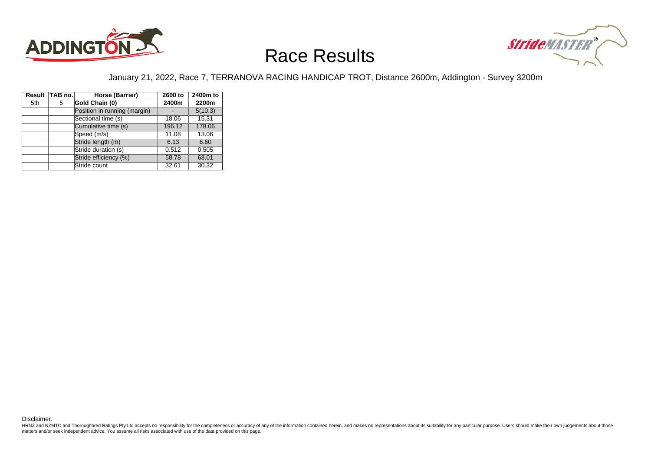



### January 21, 2022, Race 7, TERRANOVA RACING HANDICAP TROT, Distance 2600m, Addington - Survey 3200m

|     | Result TAB no. | Horse (Barrier)              | 2600 to | 2400m to |
|-----|----------------|------------------------------|---------|----------|
| 5th | 5              | Gold Chain (0)               | 2400m   | 2200m    |
|     |                | Position in running (margin) |         | 5(10.3)  |
|     |                | Sectional time (s)           | 18.06   | 15.31    |
|     |                | Cumulative time (s)          | 196.12  | 178.06   |
|     |                | Speed (m/s)                  | 11.08   | 13.06    |
|     |                | Stride length (m)            | 6.13    | 6.60     |
|     |                | Stride duration (s)          | 0.512   | 0.505    |
|     |                | Stride efficiency (%)        | 58.78   | 68.01    |
|     |                | Stride count                 | 32.61   | 30.32    |

Disclaimer.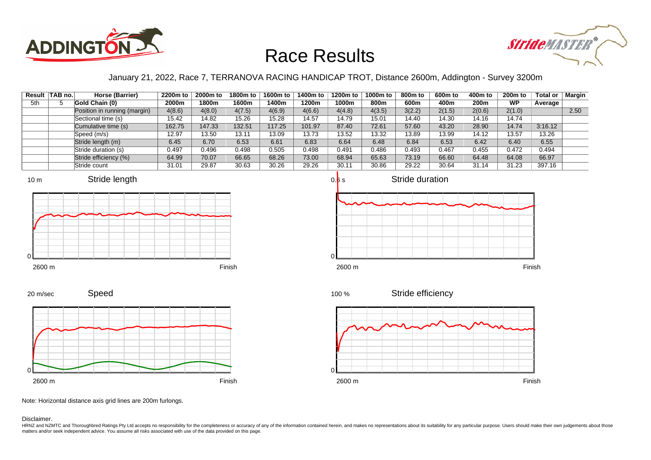



### January 21, 2022, Race 7, TERRANOVA RACING HANDICAP TROT, Distance 2600m, Addington - Survey 3200m

|     | Result TAB no. | Horse (Barrier)              | 2200m to | 2000m to | 1800m to | 1600m to | 1400m to | 1200m to | 1000m to | 800m to | 600m to | 400m to | 200 <sub>m</sub> to | Total or | <b>Margin</b> |
|-----|----------------|------------------------------|----------|----------|----------|----------|----------|----------|----------|---------|---------|---------|---------------------|----------|---------------|
| 5th |                | Gold Chain (0)               | 2000m    | 1800m    | 1600m    | 1400m    | 1200m    | 1000m    | 800m     | 600m    | 400m    | 200m    | <b>WP</b>           | Average  |               |
|     |                | Position in running (margin) | 4(8.6)   | 4(8.0)   | 4(7.5)   | 4(6.9)   | 4(6.6)   | 4(4.8)   | 4(3.5)   | 3(2.2)  | 2(1.5)  | 2(0.6)  | 2(1.0)              |          | 2.50          |
|     |                | Sectional time (s)           | 15.42    | 14.82    | 15.26    | 15.28    | 14.57    | 14.79    | 15.01    | 14.40   | 14.30   | 14.16   | 14.74               |          |               |
|     |                | Cumulative time (s)          | 162.75   | 147.33   | 132.51   | 117.25   | 101.97   | 87.40    | 72.61    | 57.60   | 43.20   | 28.90   | 14.74               | 3:16.12  |               |
|     |                | Speed (m/s)                  | 12.97    | 13.50    | 13.11    | 13.09    | 13.73    | 13.52    | 13.32    | 13.89   | 13.99   | 14.12   | 13.57               | 13.26    |               |
|     |                | Stride length (m)            | 6.45     | 6.70     | 6.53     | 6.61     | 6.83     | 6.64     | 6.48     | 6.84    | 6.53    | 6.42    | 6.40                | 6.55     |               |
|     |                | Stride duration (s)          | 0.497    | 0.496    | 0.498    | 0.505    | 0.498    | 0.491    | 0.486    | 0.493   | 0.467   | 0.455   | 0.472               | 0.494    |               |
|     |                | Stride efficiency (%)        | 64.99    | 70.07    | 66.65    | 68.26    | 73.00    | 68.94    | 65.63    | 73.19   | 66.60   | 64.48   | 64.08               | 66.97    |               |
|     |                | Stride count                 | 31.01    | 29.87    | 30.63    | 30.26    | 29.26    | 30.11    | 30.86    | 29.22   | 30.64   | 31.14   | 31.23               | 397.16   |               |















Stride efficiency



Note: Horizontal distance axis grid lines are 200m furlongs.

#### Disclaimer.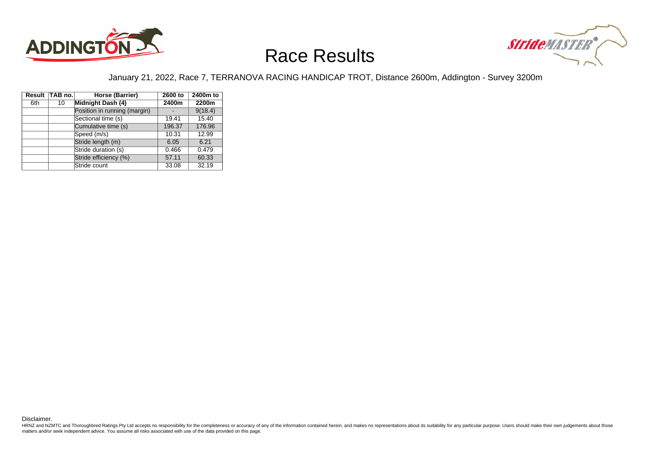



### January 21, 2022, Race 7, TERRANOVA RACING HANDICAP TROT, Distance 2600m, Addington - Survey 3200m

|     | Result TAB no. | Horse (Barrier)              | 2600 to | 2400m to |
|-----|----------------|------------------------------|---------|----------|
| 6th | 10             | Midnight Dash (4)            | 2400m   | 2200m    |
|     |                | Position in running (margin) |         | 9(18.4)  |
|     |                | Sectional time (s)           | 19.41   | 15.40    |
|     |                | Cumulative time (s)          | 196.37  | 176.96   |
|     |                | Speed (m/s)                  | 10.31   | 12.99    |
|     |                | Stride length (m)            | 6.05    | 6.21     |
|     |                | Stride duration (s)          | 0.466   | 0.479    |
|     |                | Stride efficiency (%)        | 57.11   | 60.33    |
|     |                | Stride count                 | 33.08   | 32.19    |

Disclaimer.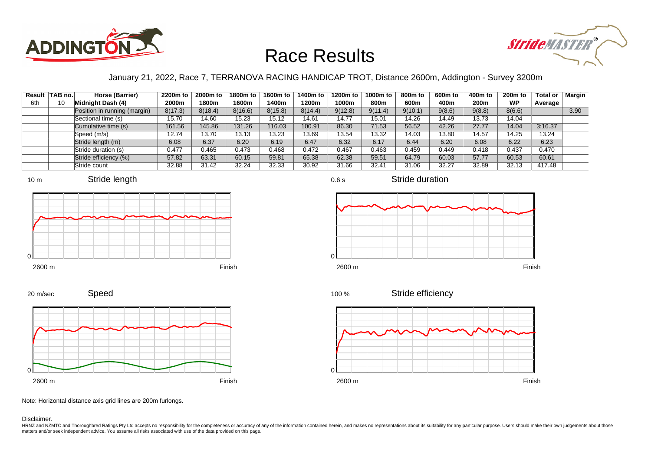



### January 21, 2022, Race 7, TERRANOVA RACING HANDICAP TROT, Distance 2600m, Addington - Survey 3200m

|     | Result TAB no. | Horse (Barrier)              | 2200m to | 2000m to | 1800m to | 1600m to | 1400m to | 1200m to | 1000m to | 800m to | 600m to | 400m to | $200m$ to | Total or | Margin |
|-----|----------------|------------------------------|----------|----------|----------|----------|----------|----------|----------|---------|---------|---------|-----------|----------|--------|
| 6th | 10             | Midnight Dash (4)            | 2000m    | 1800m    | 1600m    | 400m     | 1200m    | 1000m    | 800m     | 600m    | 400m    | 200m    | <b>WP</b> | Average  |        |
|     |                | Position in running (margin) | 8(17.3)  | 8(18.4)  | 8(16.6)  | 8(15.8)  | 8(14.4)  | 9(12.8)  | 9(11.4)  | 9(10.1) | 9(8.6)  | 9(8.8)  | 8(6.6)    |          | 3.90   |
|     |                | Sectional time (s)           | 15.70    | 14.60    | 15.23    | 15.12    | 14.61    | 14.77    | 15.01    | 14.26   | 14.49   | 13.73   | 14.04     |          |        |
|     |                | Cumulative time (s)          | 161.56   | 145.86   | 131.26   | 16.03    | 100.91   | 86.30    | 71.53    | 56.52   | 42.26   | 27.77   | 14.04     | 3:16.37  |        |
|     |                | Speed (m/s)                  | 12.74    | 13.70    | 13.13    | 13.23    | 13.69    | 13.54    | 13.32    | 14.03   | 13.80   | 14.57   | 14.25     | 13.24    |        |
|     |                | Stride length (m)            | 6.08     | 6.37     | 6.20     | 6.19     | 6.47     | 6.32     | 6.17     | 6.44    | 6.20    | 6.08    | 6.22      | 6.23     |        |
|     |                | Stride duration (s)          | 0.477    | 0.465    | 0.473    | 0.468    | 0.472    | 0.467    | 0.463    | 0.459   | 0.449   | 0.418   | 0.437     | 0.470    |        |
|     |                | Stride efficiency (%)        | 57.82    | 63.31    | 60.15    | 59.81    | 65.38    | 62.38    | 59.51    | 64.79   | 60.03   | 57.77   | 60.53     | 60.61    |        |
|     |                | Stride count                 | 32.88    | 31.42    | 32.24    | 32.33    | 30.92    | 31.66    | 32.41    | 31.06   | 32.27   | 32.89   | 32.13     | 417.48   |        |







0.6 s



Stride efficiency 100 %

Stride duration



Speed 20 m/sec



Note: Horizontal distance axis grid lines are 200m furlongs.

Disclaimer.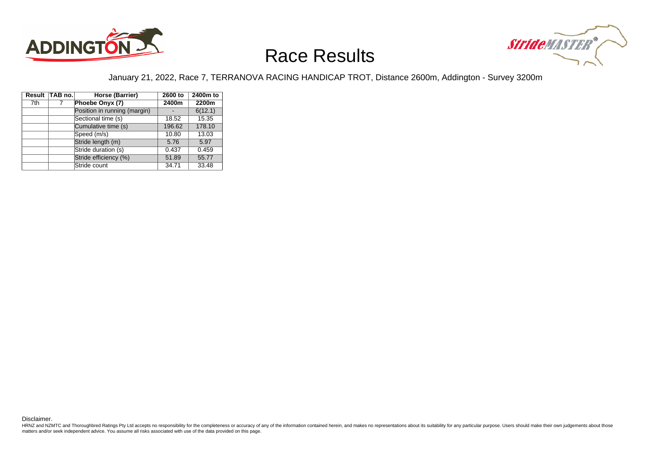



### January 21, 2022, Race 7, TERRANOVA RACING HANDICAP TROT, Distance 2600m, Addington - Survey 3200m

|     | Result TAB no. | Horse (Barrier)              | 2600 to | 2400m to |
|-----|----------------|------------------------------|---------|----------|
| 7th |                | Phoebe Onyx (7)              | 2400m   | 2200m    |
|     |                | Position in running (margin) |         | 6(12.1)  |
|     |                | Sectional time (s)           | 18.52   | 15.35    |
|     |                | Cumulative time (s)          | 196.62  | 178.10   |
|     |                | Speed (m/s)                  | 10.80   | 13.03    |
|     |                | Stride length (m)            | 5.76    | 5.97     |
|     |                | Stride duration (s)          | 0.437   | 0.459    |
|     |                | Stride efficiency (%)        | 51.89   | 55.77    |
|     |                | Stride count                 | 34.71   | 33.48    |

Disclaimer.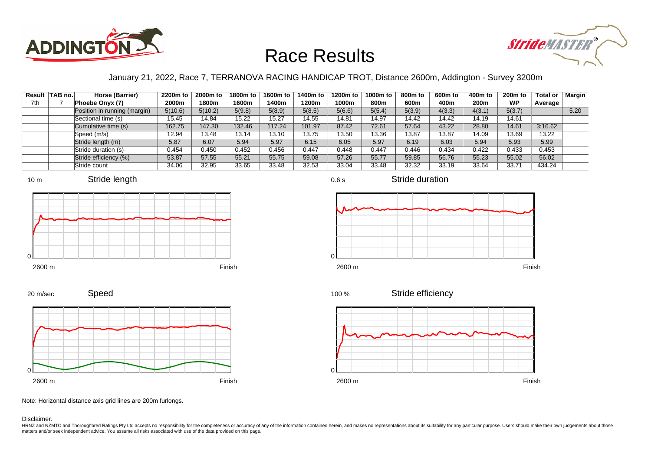



### January 21, 2022, Race 7, TERRANOVA RACING HANDICAP TROT, Distance 2600m, Addington - Survey 3200m

|     | Result TAB no. | Horse (Barrier)              | 2200m to | 2000m to | 1800m to | 1600m to | 1400m to | 1200m to | 1000m to | 800m to | 600m to | 400m to | $200m$ to | Total or | Margin |
|-----|----------------|------------------------------|----------|----------|----------|----------|----------|----------|----------|---------|---------|---------|-----------|----------|--------|
| 7th |                | Phoebe Onyx (7)              | 2000m    | 1800m    | 1600m    | 400m     | 1200m    | 1000m    | 800m     | 600m    | 400m    | 200m    | <b>WP</b> | Average  |        |
|     |                | Position in running (margin) | 5(10.6)  | 5(10.2)  | 5(9.8)   | 5(8.9)   | 5(8.5)   | 5(6.6)   | 5(5.4)   | 5(3.9)  | 4(3.3)  | 4(3.1)  | 5(3.7)    |          | 5.20   |
|     |                | Sectional time (s)           | 15.45    | 14.84    | 15.22    | 15.27    | 14.55    | 14.81    | 14.97    | 14.42   | 14.42   | 14.19   | 14.61     |          |        |
|     |                | Cumulative time (s)          | 162.75   | 147.30   | 132.46   | 17.24    | 101.97   | 87.42    | 72.61    | 57.64   | 43.22   | 28.80   | 14.61     | 3:16.62  |        |
|     |                | Speed (m/s)                  | 12.94    | 13.48    | 13.14    | 13.10    | 13.75    | 13.50    | 13.36    | 13.87   | 13.87   | 14.09   | 13.69     | 13.22    |        |
|     |                | Stride length (m)            | 5.87     | 6.07     | 5.94     | 5.97     | 6.15     | 6.05     | 5.97     | 6.19    | 6.03    | 5.94    | 5.93      | 5.99     |        |
|     |                | Stride duration (s)          | 0.454    | 0.450    | 0.452    | 0.456    | 0.447    | 0.448    | 0.447    | 0.446   | 0.434   | 0.422   | 0.433     | 0.453    |        |
|     |                | Stride efficiency (%)        | 53.87    | 57.55    | 55.21    | 55.75    | 59.08    | 57.26    | 55.77    | 59.85   | 56.76   | 55.23   | 55.02     | 56.02    |        |
|     |                | Stride count                 | 34.06    | 32.95    | 33.65    | 33.48    | 32.53    | 33.04    | 33.48    | 32.32   | 33.19   | 33.64   | 33.71     | 434.24   |        |











Stride duration







Note: Horizontal distance axis grid lines are 200m furlongs.

Speed

Disclaimer.

20 m/sec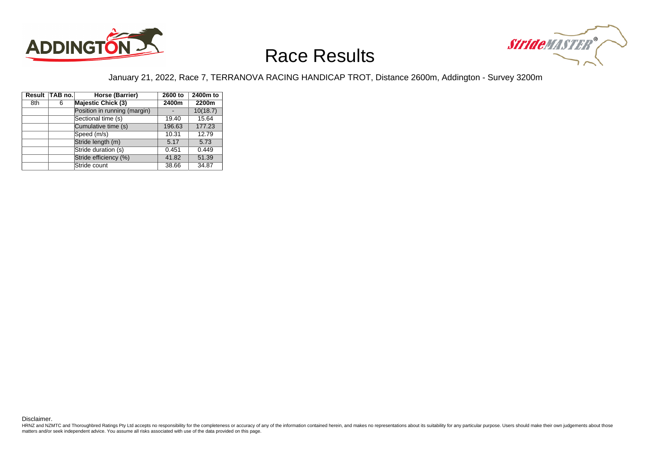



### January 21, 2022, Race 7, TERRANOVA RACING HANDICAP TROT, Distance 2600m, Addington - Survey 3200m

|     | Result TAB no. | Horse (Barrier)              | 2600 to | 2400m to |
|-----|----------------|------------------------------|---------|----------|
| 8th | 6              | <b>Majestic Chick (3)</b>    | 2400m   | 2200m    |
|     |                | Position in running (margin) |         | 10(18.7) |
|     |                | Sectional time (s)           | 19.40   | 15.64    |
|     |                | Cumulative time (s)          | 196.63  | 177.23   |
|     |                | Speed (m/s)                  | 10.31   | 12.79    |
|     |                | Stride length (m)            | 5.17    | 5.73     |
|     |                | Stride duration (s)          | 0.451   | 0.449    |
|     |                | Stride efficiency (%)        | 41.82   | 51.39    |
|     |                | Stride count                 | 38.66   | 34.87    |

Disclaimer.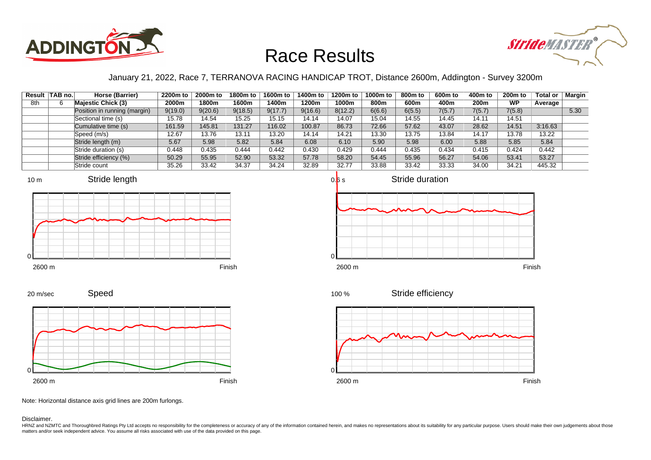



### January 21, 2022, Race 7, TERRANOVA RACING HANDICAP TROT, Distance 2600m, Addington - Survey 3200m

|     | Result TAB no. | Horse (Barrier)              | 2200m to | 2000m to | 1800m to | 1600m to | 1400m to | 1200m to | 1000m to | 800m to | 600m to | 400m to | 200 <sub>m</sub> to | <b>Total or</b> | <b>Margin</b> |
|-----|----------------|------------------------------|----------|----------|----------|----------|----------|----------|----------|---------|---------|---------|---------------------|-----------------|---------------|
| 8th |                | <b>Majestic Chick (3)</b>    | 2000m    | 1800m    | 1600m    | l 400m   | 1200m    | 1000m    | 800m     | 600m    | 400m    | 200m    | <b>WP</b>           | Average         |               |
|     |                | Position in running (margin) | 9(19.0)  | 9(20.6)  | 9(18.5)  | 9(17.7)  | 9(16.6)  | 8(12.2)  | 6(6.6)   | 6(5.5)  | 7(5.7)  | 7(5.7)  | 7(5.8)              |                 | 5.30          |
|     |                | Sectional time (s)           | 15.78    | 14.54    | 15.25    | 15.15    | 14.14    | 14.07    | 15.04    | 14.55   | 14.45   | 14.11   | 14.51               |                 |               |
|     |                | Cumulative time (s)          | 161.59   | 145.81   | 131.27   | 116.02   | 100.87   | 86.73    | 72.66    | 57.62   | 43.07   | 28.62   | 14.51               | 3:16.63         |               |
|     |                | Speed (m/s)                  | 12.67    | 13.76    | 13.11    | 13.20    | 14.14    | 14.21    | 13.30    | 13.75   | 13.84   | 14.17   | 13.78               | 13.22           |               |
|     |                | Stride length (m)            | 5.67     | 5.98     | 5.82     | 5.84     | 6.08     | 6.10     | 5.90     | 5.98    | 6.00    | 5.88    | 5.85                | 5.84            |               |
|     |                | Stride duration (s)          | 0.448    | 0.435    | 0.444    | 0.442    | 0.430    | 0.429    | 0.444    | 0.435   | 0.434   | 0.415   | 0.424               | 0.442           |               |
|     |                | Stride efficiency (%)        | 50.29    | 55.95    | 52.90    | 53.32    | 57.78    | 58.20    | 54.45    | 55.96   | 56.27   | 54.06   | 53.41               | 53.27           |               |
|     |                | Stride count                 | 35.26    | 33.42    | 34.37    | 34.24    | 32.89    | 32.77    | 33.88    | 33.42   | 33.33   | 34.00   | 34.21               | 445.32          |               |











Speed









Note: Horizontal distance axis grid lines are 200m furlongs.

Disclaimer.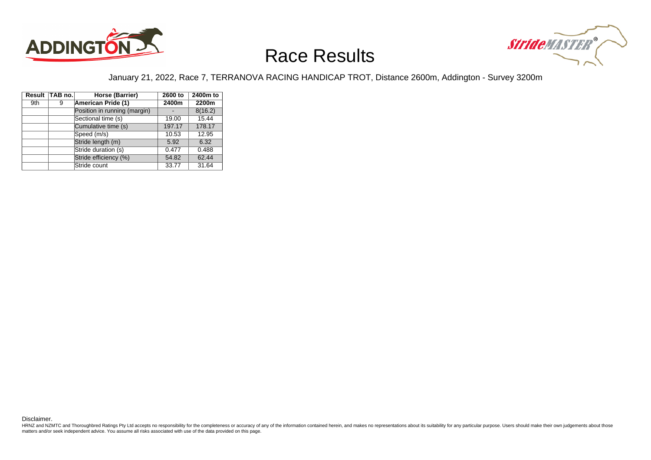



### January 21, 2022, Race 7, TERRANOVA RACING HANDICAP TROT, Distance 2600m, Addington - Survey 3200m

|     | Result TAB no. | Horse (Barrier)              | 2600 to | 2400m to |
|-----|----------------|------------------------------|---------|----------|
| 9th | 9              | American Pride (1)           | 2400m   | 2200m    |
|     |                | Position in running (margin) |         | 8(16.2)  |
|     |                | Sectional time (s)           | 19.00   | 15.44    |
|     |                | Cumulative time (s)          | 197.17  | 178.17   |
|     |                | Speed (m/s)                  | 10.53   | 12.95    |
|     |                | Stride length (m)            | 5.92    | 6.32     |
|     |                | Stride duration (s)          | 0.477   | 0.488    |
|     |                | Stride efficiency (%)        | 54.82   | 62.44    |
|     |                | Stride count                 | 33.77   | 31.64    |

Disclaimer.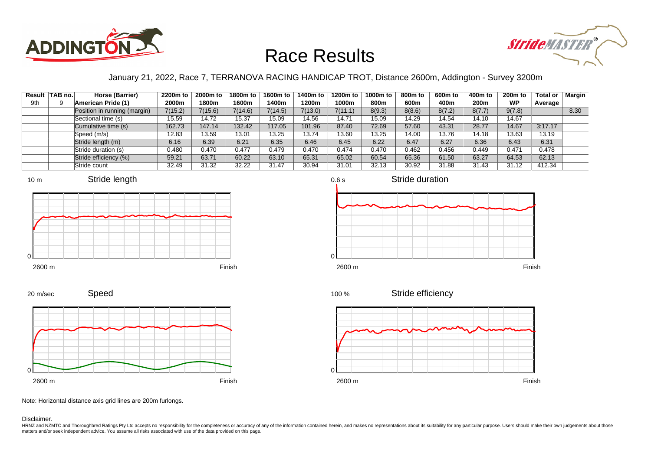



### January 21, 2022, Race 7, TERRANOVA RACING HANDICAP TROT, Distance 2600m, Addington - Survey 3200m

|     | Result TAB no. | Horse (Barrier)              | 2200m to | 2000m to | 1800m to | 1600m to | 1400m to | 1200m to | 1000m to | 800m to | 600m to | 400m to          | 200 <sub>m</sub> to | <b>Total or</b> | Margin |
|-----|----------------|------------------------------|----------|----------|----------|----------|----------|----------|----------|---------|---------|------------------|---------------------|-----------------|--------|
| 9th |                | American Pride (1)           | 2000m    | 1800m    | 1600m    | l 400m   | 1200m    | 1000m    | 800m     | 600m    | 400m    | 200 <sub>m</sub> | <b>WP</b>           | Average         |        |
|     |                | Position in running (margin) | 7(15.2)  | 7(15.6)  | 7(14.6)  | 7(14.5)  | 7(13.0)  | 7(11.1)  | 8(9.3)   | 8(8.6)  | 8(7.2)  | 8(7.7)           | 9(7.8)              |                 | 8.30   |
|     |                | Sectional time (s)           | 15.59    | 14.72    | 15.37    | 15.09    | 14.56    | 14.71    | 15.09    | 14.29   | 14.54   | 14.10            | 14.67               |                 |        |
|     |                | Cumulative time (s)          | 162.73   | 147.14   | 132.42   | 17.05    | 101.96   | 87.40    | 72.69    | 57.60   | 43.31   | 28.77            | 14.67               | 3:17.17         |        |
|     |                | Speed (m/s)                  | 12.83    | 13.59    | 13.01    | 13.25    | 13.74    | 13.60    | 13.25    | 14.00   | 13.76   | 14.18            | 13.63               | 13.19           |        |
|     |                | Stride length (m)            | 6.16     | 6.39     | 6.21     | 6.35     | 6.46     | 6.45     | 6.22     | 6.47    | 6.27    | 6.36             | 6.43                | 6.31            |        |
|     |                | Stride duration (s)          | 0.480    | 0.470    | 0.477    | 0.479    | 0.470    | 0.474    | 0.470    | 0.462   | 0.456   | 0.449            | 0.471               | 0.478           |        |
|     |                | Stride efficiency (%)        | 59.21    | 63.71    | 60.22    | 63.10    | 65.31    | 65.02    | 60.54    | 65.36   | 61.50   | 63.27            | 64.53               | 62.13           |        |
|     |                | Stride count                 | 32.49    | 31.32    | 32.22    | 31.47    | 30.94    | 31.01    | 32.13    | 30.92   | 31.88   | 31.43            | 31.12               | 412.34          |        |





2600 m Finish

Stride efficiency 100 %



Note: Horizontal distance axis grid lines are 200m furlongs.

Speed

Disclaimer.

0

20 m/sec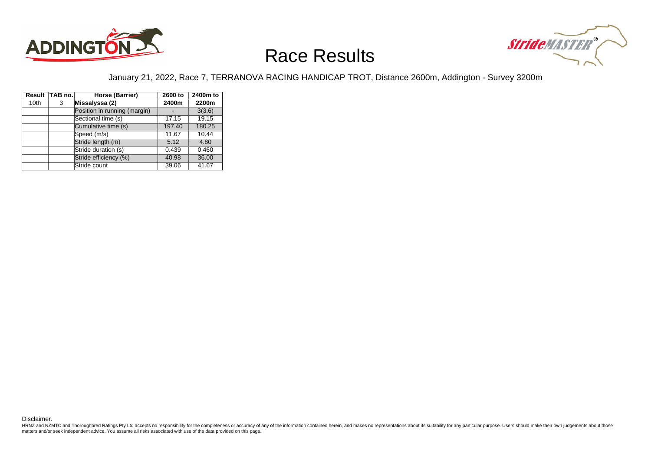



### January 21, 2022, Race 7, TERRANOVA RACING HANDICAP TROT, Distance 2600m, Addington - Survey 3200m

|                  | Result TAB no. | Horse (Barrier)              | 2600 to | 2400m to |
|------------------|----------------|------------------------------|---------|----------|
| 10 <sub>th</sub> | 3              | Missalyssa (2)               | 2400m   | 2200m    |
|                  |                | Position in running (margin) |         | 3(3.6)   |
|                  |                | Sectional time (s)           | 17.15   | 19.15    |
|                  |                | Cumulative time (s)          | 197.40  | 180.25   |
|                  |                | Speed (m/s)                  | 11.67   | 10.44    |
|                  |                | Stride length (m)            | 5.12    | 4.80     |
|                  |                | Stride duration (s)          | 0.439   | 0.460    |
|                  |                | Stride efficiency (%)        | 40.98   | 36.00    |
|                  |                | Stride count                 | 39.06   | 41.67    |

Disclaimer.